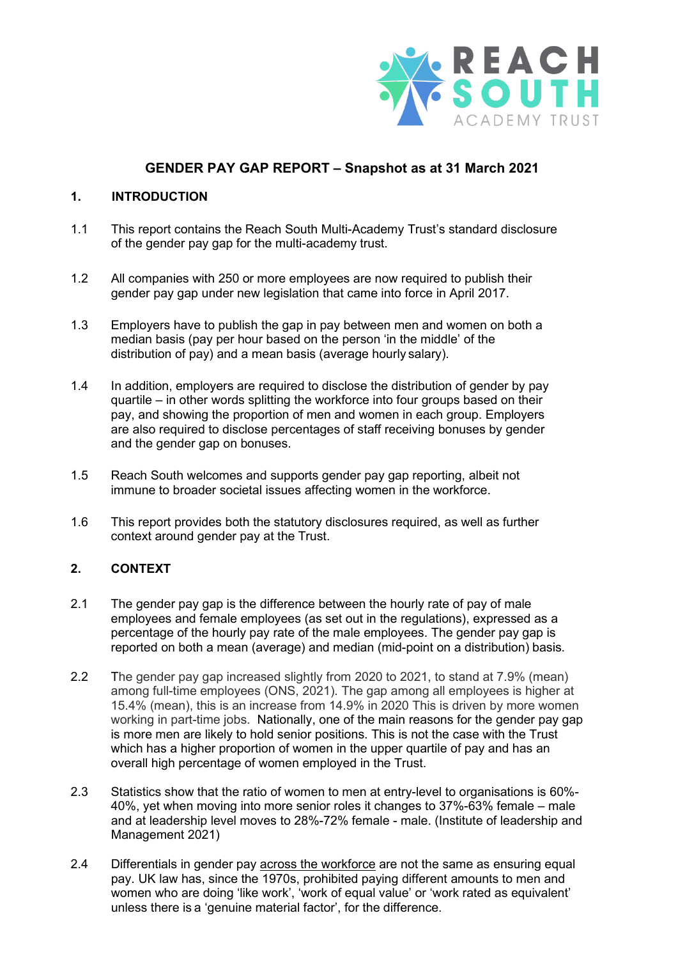

# **GENDER PAY GAP REPORT – Snapshot as at 31 March 2021**

### **1. INTRODUCTION**

- 1.1 This report contains the Reach South Multi-Academy Trust's standard disclosure of the gender pay gap for the multi-academy trust.
- 1.2 All companies with 250 or more employees are now required to publish their gender pay gap under new legislation that came into force in April 2017.
- 1.3 Employers have to publish the gap in pay between men and women on both a median basis (pay per hour based on the person 'in the middle' of the distribution of pay) and a mean basis (average hourly salary).
- 1.4 In addition, employers are required to disclose the distribution of gender by pay quartile – in other words splitting the workforce into four groups based on their pay, and showing the proportion of men and women in each group. Employers are also required to disclose percentages of staff receiving bonuses by gender and the gender gap on bonuses.
- 1.5 Reach South welcomes and supports gender pay gap reporting, albeit not immune to broader societal issues affecting women in the workforce.
- 1.6 This report provides both the statutory disclosures required, as well as further context around gender pay at the Trust.

## **2. CONTEXT**

- 2.1 The gender pay gap is the difference between the hourly rate of pay of male employees and female employees (as set out in the regulations), expressed as a percentage of the hourly pay rate of the male employees. The gender pay gap is reported on both a mean (average) and median (mid-point on a distribution) basis.
- 2.2 The gender pay gap increased slightly from 2020 to 2021, to stand at 7.9% (mean) among full-time employees (ONS, 2021). The gap among all employees is higher at 15.4% (mean), this is an increase from 14.9% in 2020 This is driven by more women working in part-time jobs. Nationally, one of the main reasons for the gender pay gap is more men are likely to hold senior positions. This is not the case with the Trust which has a higher proportion of women in the upper quartile of pay and has an overall high percentage of women employed in the Trust.
- 2.3 Statistics show that the ratio of women to men at entry-level to organisations is 60%- 40%, yet when moving into more senior roles it changes to 37%-63% female – male and at leadership level moves to 28%-72% female - male. (Institute of leadership and Management 2021)
- 2.4 Differentials in gender pay across the workforce are not the same as ensuring equal pay. UK law has, since the 1970s, prohibited paying different amounts to men and women who are doing 'like work', 'work of equal value' or 'work rated as equivalent' unless there is a 'genuine material factor', for the difference.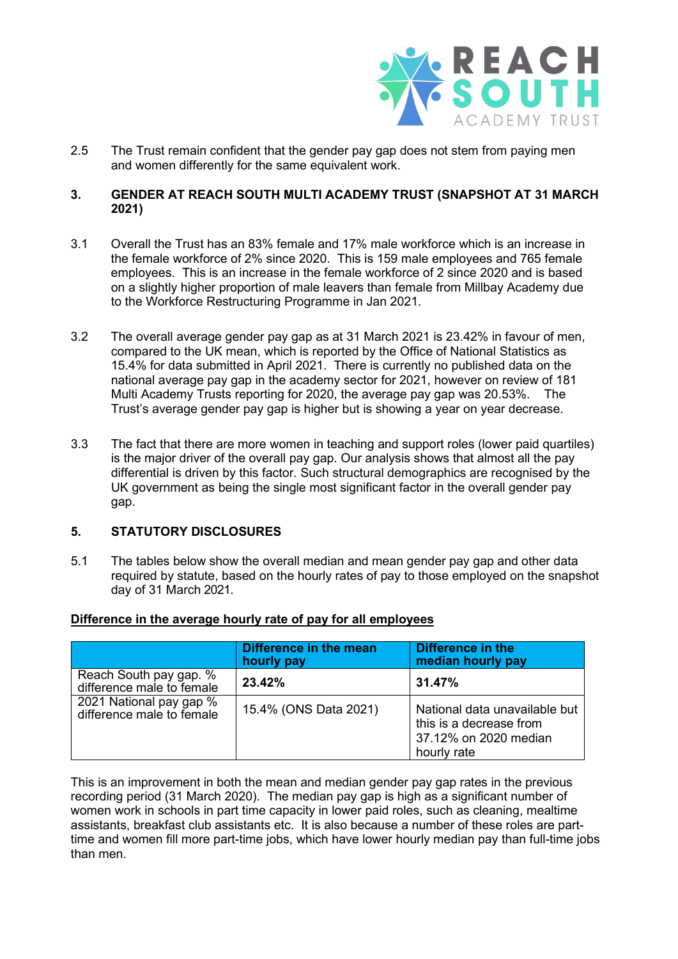

2.5 The Trust remain confident that the gender pay gap does not stem from paying men and women differently for the same equivalent work.

### **3. GENDER AT REACH SOUTH MULTI ACADEMY TRUST (SNAPSHOT AT 31 MARCH 2021)**

- 3.1 Overall the Trust has an 83% female and 17% male workforce which is an increase in the female workforce of 2% since 2020. This is 159 male employees and 765 female employees. This is an increase in the female workforce of 2 since 2020 and is based on a slightly higher proportion of male leavers than female from Millbay Academy due to the Workforce Restructuring Programme in Jan 2021.
- 3.2 The overall average gender pay gap as at 31 March 2021 is 23.42% in favour of men, compared to the UK mean, which is reported by the Office of National Statistics as 15.4% for data submitted in April 2021. There is currently no published data on the national average pay gap in the academy sector for 2021, however on review of 181 Multi Academy Trusts reporting for 2020, the average pay gap was 20.53%. The Trust's average gender pay gap is higher but is showing a year on year decrease.
- 3.3 The fact that there are more women in teaching and support roles (lower paid quartiles) is the major driver of the overall pay gap. Our analysis shows that almost all the pay differential is driven by this factor. Such structural demographics are recognised by the UK government as being the single most significant factor in the overall gender pay gap.

### **5. STATUTORY DISCLOSURES**

5.1 The tables below show the overall median and mean gender pay gap and other data required by statute, based on the hourly rates of pay to those employed on the snapshot day of 31 March 2021.

|                                                      | Difference in the mean<br>hourly pay | Difference in the<br>median hourly pay                                                           |
|------------------------------------------------------|--------------------------------------|--------------------------------------------------------------------------------------------------|
| Reach South pay gap. %<br>difference male to female  | 23.42%                               | 31.47%                                                                                           |
| 2021 National pay gap %<br>difference male to female | 15.4% (ONS Data 2021)                | National data unavailable but<br>this is a decrease from<br>37.12% on 2020 median<br>hourly rate |

### **Difference in the average hourly rate of pay for all employees**

This is an improvement in both the mean and median gender pay gap rates in the previous recording period (31 March 2020). The median pay gap is high as a significant number of women work in schools in part time capacity in lower paid roles, such as cleaning, mealtime assistants, breakfast club assistants etc. It is also because a number of these roles are parttime and women fill more part-time jobs, which have lower hourly median pay than full-time jobs than men.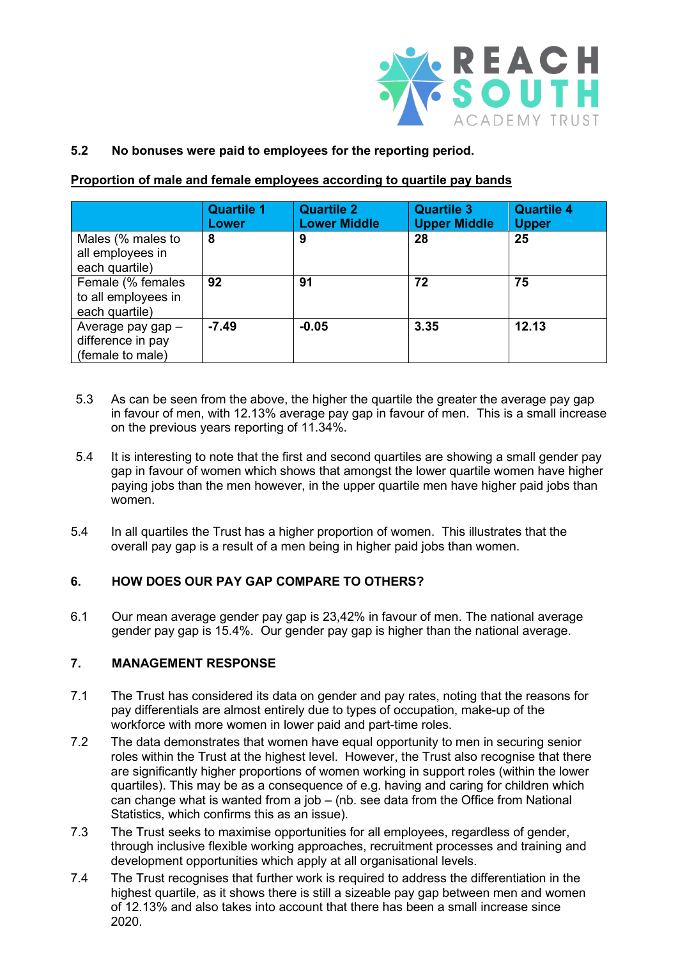

# **5.2 No bonuses were paid to employees for the reporting period.**

### **Proportion of male and female employees according to quartile pay bands**

|                                                            | <b>Quartile 1</b><br>Lower | <b>Quartile 2</b><br><b>Lower Middle</b> | <b>Quartile 3</b><br><b>Upper Middle</b> | <b>Quartile 4</b><br><b>Upper</b> |
|------------------------------------------------------------|----------------------------|------------------------------------------|------------------------------------------|-----------------------------------|
| Males (% males to<br>all employees in<br>each quartile)    | 8                          | 9                                        | 28                                       | 25                                |
| Female (% females<br>to all employees in<br>each quartile) | 92                         | 91                                       | 72                                       | 75                                |
| Average pay gap -<br>difference in pay<br>(female to male) | $-7.49$                    | $-0.05$                                  | 3.35                                     | 12.13                             |

- 5.3 As can be seen from the above, the higher the quartile the greater the average pay gap in favour of men, with 12.13% average pay gap in favour of men. This is a small increase on the previous years reporting of 11.34%.
- 5.4 It is interesting to note that the first and second quartiles are showing a small gender pay gap in favour of women which shows that amongst the lower quartile women have higher paying jobs than the men however, in the upper quartile men have higher paid jobs than women.
- 5.4 In all quartiles the Trust has a higher proportion of women. This illustrates that the overall pay gap is a result of a men being in higher paid jobs than women.

# **6. HOW DOES OUR PAY GAP COMPARE TO OTHERS?**

6.1 Our mean average gender pay gap is 23,42% in favour of men. The national average gender pay gap is 15.4%. Our gender pay gap is higher than the national average.

## **7. MANAGEMENT RESPONSE**

- 7.1 The Trust has considered its data on gender and pay rates, noting that the reasons for pay differentials are almost entirely due to types of occupation, make-up of the workforce with more women in lower paid and part-time roles.
- 7.2 The data demonstrates that women have equal opportunity to men in securing senior roles within the Trust at the highest level. However, the Trust also recognise that there are significantly higher proportions of women working in support roles (within the lower quartiles). This may be as a consequence of e.g. having and caring for children which can change what is wanted from a job – (nb. see data from the Office from National Statistics, which confirms this as an issue).
- 7.3 The Trust seeks to maximise opportunities for all employees, regardless of gender, through inclusive flexible working approaches, recruitment processes and training and development opportunities which apply at all organisational levels.
- 7.4 The Trust recognises that further work is required to address the differentiation in the highest quartile, as it shows there is still a sizeable pay gap between men and women of 12.13% and also takes into account that there has been a small increase since 2020.